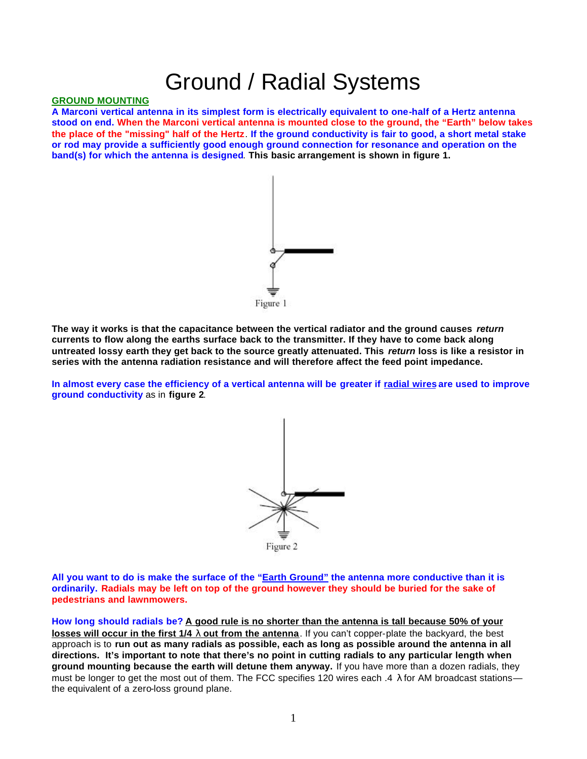# Ground / Radial Systems

## **GROUND MOUNTING**

**A Marconi vertical antenna in its simplest form is electrically equivalent to one-half of a Hertz antenna stood on end. When the Marconi vertical antenna is mounted close to the ground, the "Earth" below takes the place of the "missing" half of the Hertz**. **If the ground conductivity is fair to good, a short metal stake or rod may provide a sufficiently good enough ground connection for resonance and operation on the band(s) for which the antenna is designed**. **This basic arrangement is shown in figure 1.**



**The way it works is that the capacitance between the vertical radiator and the ground causes** *return*  **currents to flow along the earths surface back to the transmitter. If they have to come back along untreated lossy earth they get back to the source greatly attenuated. This** *return* **loss is like a resistor in series with the antenna radiation resistance and will therefore affect the feed point impedance.** 

**In almost every case the efficiency of a vertical antenna will be greater if radial wires are used to improve ground conductivity** as in **figure 2**.



**All you want to do is make the surface of the "Earth Ground" the antenna more conductive than it is ordinarily. Radials may be left on top of the ground however they should be buried for the sake of pedestrians and lawnmowers.** 

**How long should radials be? A good rule is no shorter than the antenna is tall because 50% of your losses will occur in the first 1/4 l out from the antenna**. If you can't copper-plate the backyard, the best approach is to **run out as many radials as possible, each as long as possible around the antenna in all directions. It's important to note that there's no point in cutting radials to any particular length when ground mounting because the earth will detune them anyway.** If you have more than a dozen radials, they must be longer to get the most out of them. The FCC specifies 120 wires each .4  $\lambda$  for AM broadcast stations the equivalent of a zero-loss ground plane.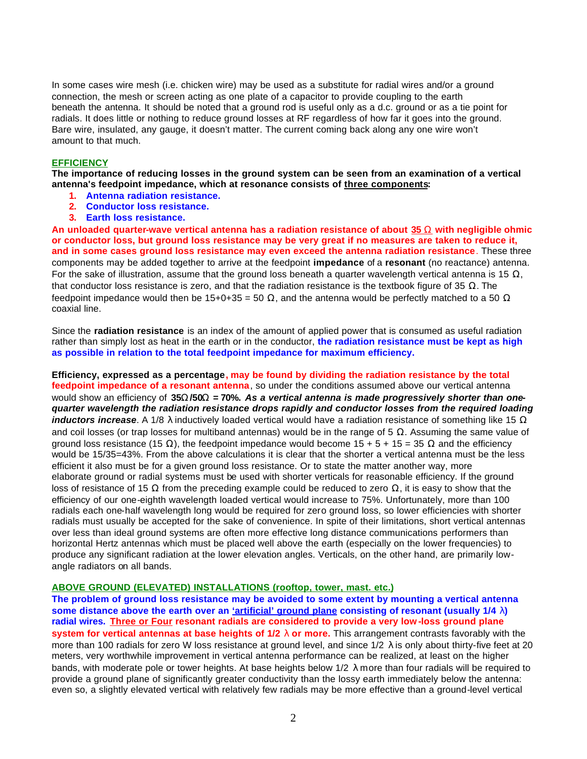In some cases wire mesh (i.e. chicken wire) may be used as a substitute for radial wires and/or a ground connection, the mesh or screen acting as one plate of a capacitor to provide coupling to the earth beneath the antenna. It should be noted that a ground rod is useful only as a d.c. ground or as a tie point for radials. It does little or nothing to reduce ground losses at RF regardless of how far it goes into the ground. Bare wire, insulated, any gauge, it doesn't matter. The current coming back along any one wire won't amount to that much.

## **EFFICIENCY**

**The importance of reducing losses in the ground system can be seen from an examination of a vertical antenna's feedpoint impedance, which at resonance consists of three components:** 

- **1. Antenna radiation resistance.**
- **2. Conductor loss resistance.**
- **3. Earth loss resistance.**

**An unloaded quarter-wave vertical antenna has a radiation resistance of about 35 W with negligible ohmic or conductor loss, but ground loss resistance may be very great if no measures are taken to reduce it, and in some cases ground loss resistance may even exceed the antenna radiation resistance**. These three components may be added together to arrive at the feedpoint **impedance** of a **resonant** (no reactance) antenna. For the sake of illustration, assume that the ground loss beneath a quarter wavelength vertical antenna is 15  $\Omega$ , that conductor loss resistance is zero, and that the radiation resistance is the textbook figure of 35  $Ω$ . The feedpoint impedance would then be 15+0+35 = 50  $\Omega$ , and the antenna would be perfectly matched to a 50  $\Omega$ coaxial line.

Since the **radiation resistance** is an index of the amount of applied power that is consumed as useful radiation rather than simply lost as heat in the earth or in the conductor, **the radiation resistance must be kept as high as possible in relation to the total feedpoint impedance for maximum efficiency.**

**Efficiency, expressed as a percentage, may be found by dividing the radiation resistance by the total feedpoint impedance of a resonant antenna**, so under the conditions assumed above our vertical antenna would show an efficiency of 35W/50W = 70%. As a vertical antenna is made progressively shorter than one*quarter wavelength the radiation resistance drops rapidly and conductor losses from the required loading inductors increase*. A 1/8 λ inductively loaded vertical would have a radiation resistance of something like 15 Ω and coil losses (or trap losses for multiband antennas) would be in the range of 5  $\Omega$ . Assuming the same value of ground loss resistance (15 Ω), the feedpoint impedance would become  $15 + 5 + 15 = 35$  Ω and the efficiency would be 15/35=43%. From the above calculations it is clear that the shorter a vertical antenna must be the less efficient it also must be for a given ground loss resistance. Or to state the matter another way, more elaborate ground or radial systems must be used with shorter verticals for reasonable efficiency. If the ground loss of resistance of 15  $\Omega$  from the preceding example could be reduced to zero  $\Omega$ , it is easy to show that the efficiency of our one-eighth wavelength loaded vertical would increase to 75%. Unfortunately, more than 100 radials each one-half wavelength long would be required for zero ground loss, so lower efficiencies with shorter radials must usually be accepted for the sake of convenience. In spite of their limitations, short vertical antennas over less than ideal ground systems are often more effective long distance communications performers than horizontal Hertz antennas which must be placed well above the earth (especially on the lower frequencies) to produce any significant radiation at the lower elevation angles. Verticals, on the other hand, are primarily lowangle radiators on all bands.

### **ABOVE GROUND (ELEVATED) INSTALLATIONS (rooftop, tower, mast. etc.)**

**The problem of ground loss resistance may be avoided to some extent by mounting a vertical antenna some distance above the earth over an 'artificial' ground plane consisting of resonant (usually 1/4 l) radial wires. Three or Four resonant radials are considered to provide a very low -loss ground plane system for vertical antennas at base heights of 1/2 l or more.** This arrangement contrasts favorably with the more than 100 radials for zero W loss resistance at ground level, and since  $1/2$   $\lambda$  is only about thirty-five feet at 20 meters, very worthwhile improvement in vertical antenna performance can be realized, at least on the higher bands, with moderate pole or tower heights. At base heights below  $1/2$   $\lambda$  more than four radials will be required to provide a ground plane of significantly greater conductivity than the lossy earth immediately below the antenna: even so, a slightly elevated vertical with relatively few radials may be more effective than a ground-level vertical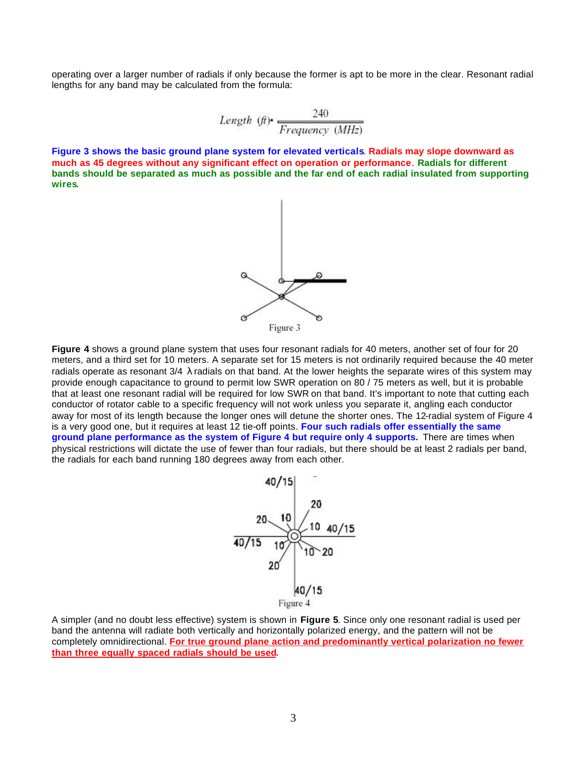operating over a larger number of radials if only because the former is apt to be more in the clear. Resonant radial lengths for any band may be calculated from the formula:

Length 
$$
(ft)
$$
  $\frac{240}{Frequency (MHz)}$ 

**Figure 3 shows the basic ground plane system for elevated verticals**. **Radials may slope downward as much as 45 degrees without any significant effect on operation or performance**. **Radials for different bands should be separated as much as possible and the far end of each radial insulated from supporting wires**.



**Figure 4** shows a ground plane system that uses four resonant radials for 40 meters, another set of four for 20 meters, and a third set for 10 meters. A separate set for 15 meters is not ordinarily required because the 40 meter radials operate as resonant  $3/4$   $\lambda$  radials on that band. At the lower heights the separate wires of this system may provide enough capacitance to ground to permit low SWR operation on 80 / 75 meters as well, but it is probable that at least one resonant radial will be required for low SWR on that band. It's important to note that cutting each conductor of rotator cable to a specific frequency will not work unless you separate it, angling each conductor away for most of its length because the longer ones will detune the shorter ones. The 12-radial system of Figure 4 is a very good one, but it requires at least 12 tie-off points. **Four such radials offer essentially the same ground plane performance as the system of Figure 4 but require only 4 supports.** There are times when physical restrictions will dictate the use of fewer than four radials, but there should be at least 2 radials per band, the radials for each band running 180 degrees away from each other.



A simpler (and no doubt less effective) system is shown in **Figure 5**. Since only one resonant radial is used per band the antenna will radiate both vertically and horizontally polarized energy, and the pattern will not be completely omnidirectional. **For true ground plane action and predominantly vertical polarization no fewer than three equally spaced radials should be used.**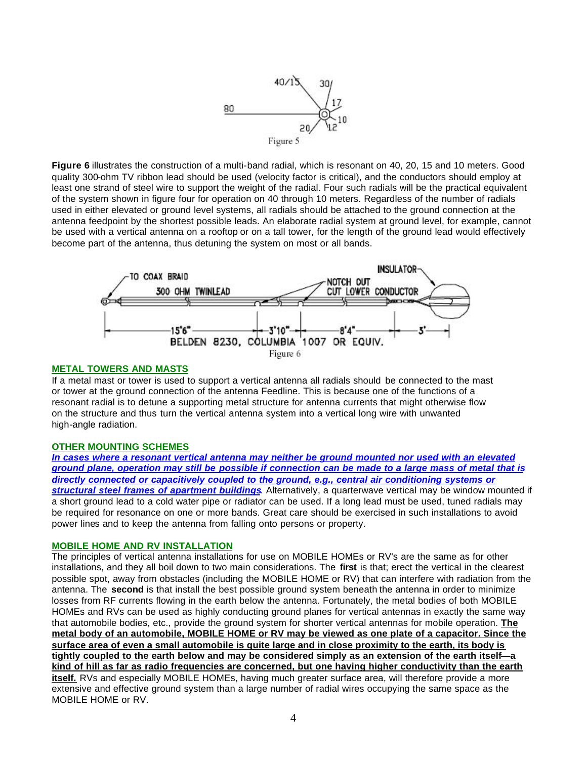

**Figure 6** illustrates the construction of a multi-band radial, which is resonant on 40, 20, 15 and 10 meters. Good quality 300-ohm TV ribbon lead should be used (velocity factor is critical), and the conductors should employ at least one strand of steel wire to support the weight of the radial. Four such radials will be the practical equivalent of the system shown in figure four for operation on 40 through 10 meters. Regardless of the number of radials used in either elevated or ground level systems, all radials should be attached to the ground connection at the antenna feedpoint by the shortest possible leads. An elaborate radial system at ground level, for example, cannot be used with a vertical antenna on a rooftop or on a tall tower, for the length of the ground lead would effectively become part of the antenna, thus detuning the system on most or all bands.



## **METAL TOWERS AND MASTS**

If a metal mast or tower is used to support a vertical antenna all radials should be connected to the mast or tower at the ground connection of the antenna Feedline. This is because one of the functions of a resonant radial is to detune a supporting metal structure for antenna currents that might otherwise flow on the structure and thus turn the vertical antenna system into a vertical long wire with unwanted high-angle radiation.

### **OTHER MOUNTING SCHEMES**

*In cases where a resonant vertical antenna may neither be ground mounted nor used with an elevated ground plane, operation may still be possible if connection can be made to a large mass of metal that is directly connected or capacitively coupled to the ground, e.g., central air conditioning systems or structural steel frames of apartment buildings*. Alternatively, a quarterwave vertical may be window mounted if a short ground lead to a cold water pipe or radiator can be used. If a long lead must be used, tuned radials may be required for resonance on one or more bands. Great care should be exercised in such installations to avoid power lines and to keep the antenna from falling onto persons or property.

### **MOBILE HOME AND RV INSTALLATION**

The principles of vertical antenna installations for use on MOBILE HOMEs or RV's are the same as for other installations, and they all boil down to two main considerations. The **first** is that; erect the vertical in the clearest possible spot, away from obstacles (including the MOBILE HOME or RV) that can interfere with radiation from the antenna. The **second** is that install the best possible ground system beneath the antenna in order to minimize losses from RF currents flowing in the earth below the antenna. Fortunately, the metal bodies of both MOBILE HOMEs and RVs can be used as highly conducting ground planes for vertical antennas in exactly the same way that automobile bodies, etc., provide the ground system for shorter vertical antennas for mobile operation. **The metal body of an automobile, MOBILE HOME or RV may be viewed as one plate of a capacitor. Since the surface area of even a small automobile is quite large and in close proximity to the earth, its body is tightly coupled to the earth below and may be considered simply as an extension of the earth itself—a kind of hill as far as radio frequencies are concerned, but one having higher conductivity than the earth itself.** RVs and especially MOBILE HOMEs, having much greater surface area, will therefore provide a more extensive and effective ground system than a large number of radial wires occupying the same space as the MOBILE HOME or RV.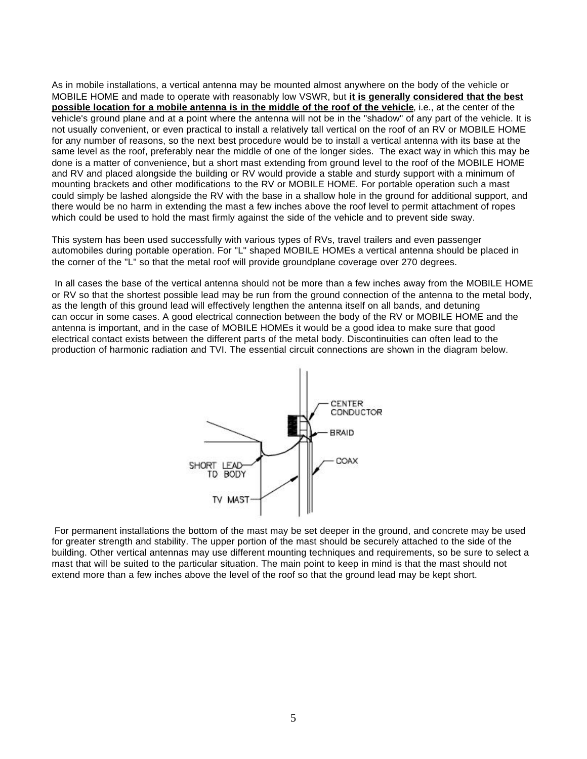As in mobile installations, a vertical antenna may be mounted almost anywhere on the body of the vehicle or MOBILE HOME and made to operate with reasonably low VSWR, but **it is generally considered that the best possible location for a mobile antenna is in the middle of the roof of the vehicle**, i.e., at the center of the vehicle's ground plane and at a point where the antenna will not be in the "shadow" of any part of the vehicle. It is not usually convenient, or even practical to install a relatively tall vertical on the roof of an RV or MOBILE HOME for any number of reasons, so the next best procedure would be to install a vertical antenna with its base at the same level as the roof, preferably near the middle of one of the longer sides. The exact way in which this may be done is a matter of convenience, but a short mast extending from ground level to the roof of the MOBILE HOME and RV and placed alongside the building or RV would provide a stable and sturdy support with a minimum of mounting brackets and other modifications to the RV or MOBILE HOME. For portable operation such a mast could simply be lashed alongside the RV with the base in a shallow hole in the ground for additional support, and there would be no harm in extending the mast a few inches above the roof level to permit attachment of ropes which could be used to hold the mast firmly against the side of the vehicle and to prevent side sway.

This system has been used successfully with various types of RVs, travel trailers and even passenger automobiles during portable operation. For "L" shaped MOBILE HOMEs a vertical antenna should be placed in the corner of the "L" so that the metal roof will provide groundplane coverage over 270 degrees.

 In all cases the base of the vertical antenna should not be more than a few inches away from the MOBILE HOME or RV so that the shortest possible lead may be run from the ground connection of the antenna to the metal body, as the length of this ground lead will effectively lengthen the antenna itself on all bands, and detuning can occur in some cases. A good electrical connection between the body of the RV or MOBILE HOME and the antenna is important, and in the case of MOBILE HOMEs it would be a good idea to make sure that good electrical contact exists between the different parts of the metal body. Discontinuities can often lead to the production of harmonic radiation and TVI. The essential circuit connections are shown in the diagram below.



 For permanent installations the bottom of the mast may be set deeper in the ground, and concrete may be used for greater strength and stability. The upper portion of the mast should be securely attached to the side of the building. Other vertical antennas may use different mounting techniques and requirements, so be sure to select a mast that will be suited to the particular situation. The main point to keep in mind is that the mast should not extend more than a few inches above the level of the roof so that the ground lead may be kept short.